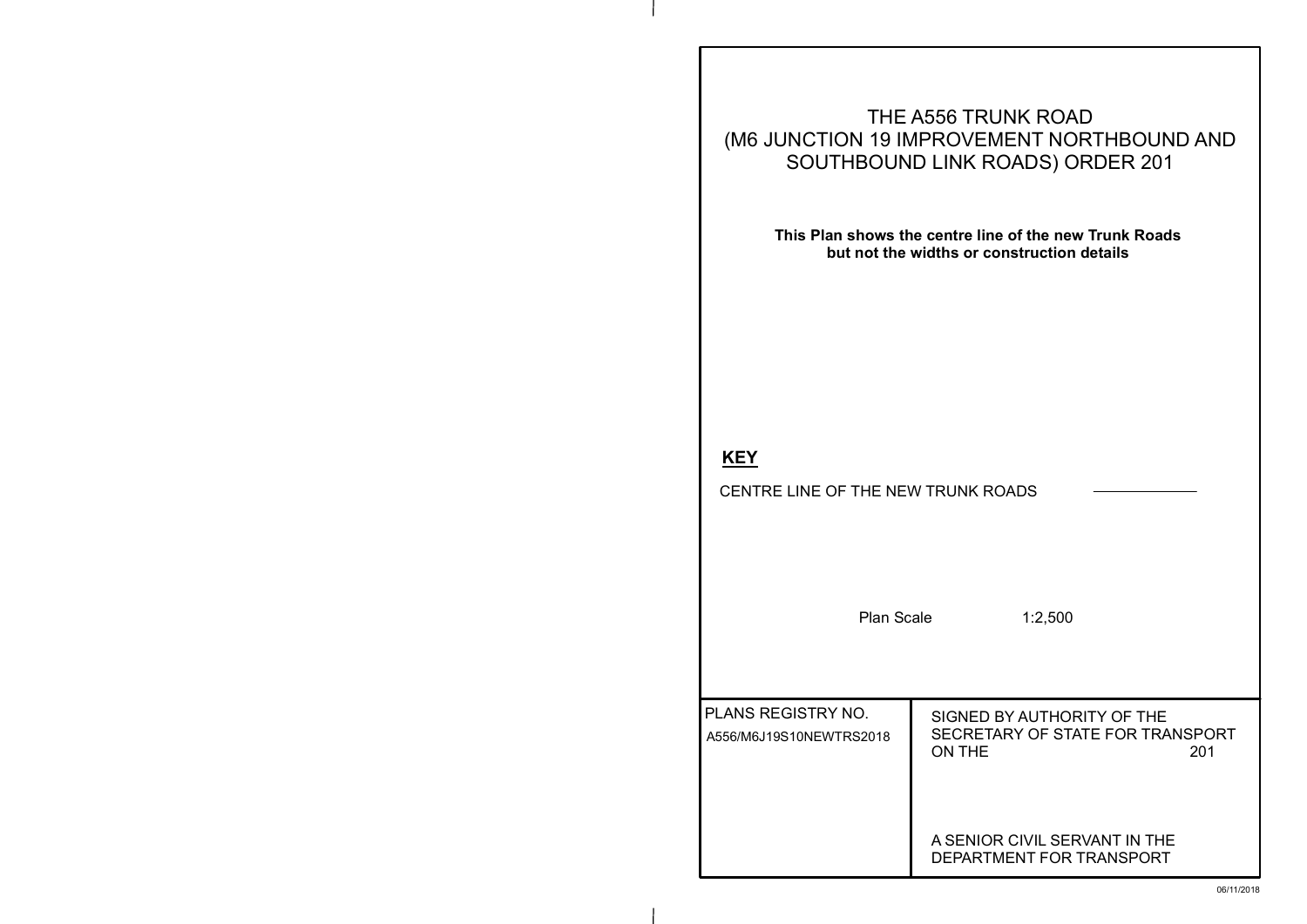### OR CIVIL SERVANT IN THE MENT FOR TRANSPORT

## **KEY**

CENTRE LINE OF THE NEW TRUNK ROADS

Plan Scale 1:2,500

#### BY AUTHORITY OF THE FARY OF STATE FOR TRANSPORT<br>201 ON THE 201

# **EMENT NORTHBOUND AND** ROADS) ORDER 201

# **This Plan shows the centre line of the new Trunk Roads**

|                                  | THE A556 TRUNK ROAD |
|----------------------------------|---------------------|
| (M6 JUNCTION 19 IMPROVEMENT NORT |                     |
| SOUTHBOUND LINK ROADS) ORI       |                     |
|                                  |                     |

**but not the widths or construction details**

| <b>PLANS REGISTRY NO.</b><br>A556/M6J19S10NEWTRS2018 | <b>SIGNED</b><br><b>SECRET</b><br><b>ON THE</b> |
|------------------------------------------------------|-------------------------------------------------|
|                                                      | A SENIO<br>DFPART                               |